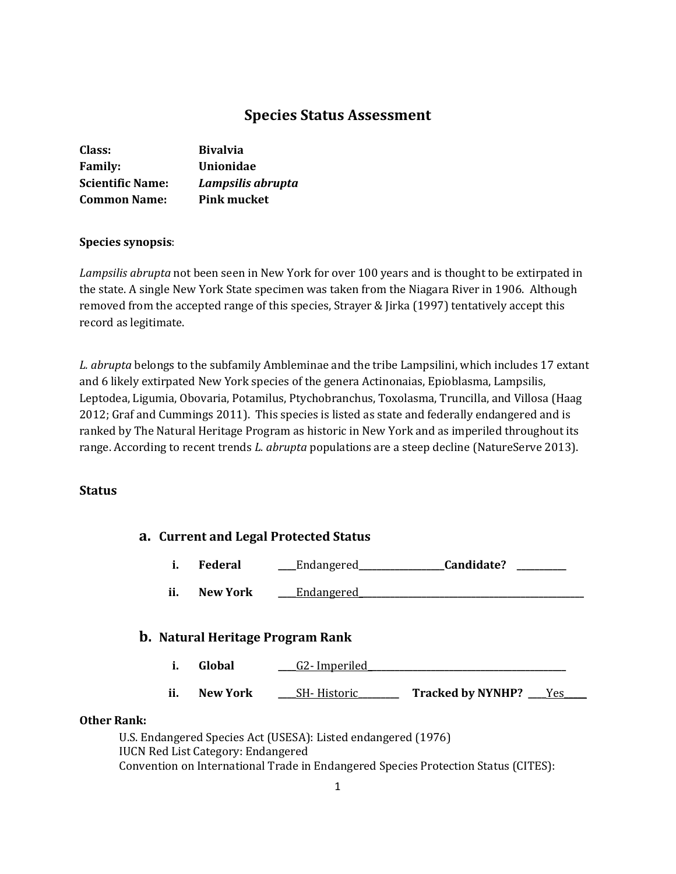# **Species Status Assessment**

| Class:                  | <b>Bivalvia</b>    |
|-------------------------|--------------------|
| <b>Family:</b>          | <b>Unionidae</b>   |
| <b>Scientific Name:</b> | Lampsilis abrupta  |
| <b>Common Name:</b>     | <b>Pink mucket</b> |

### **Species synopsis**:

*Lampsilis abrupta* not been seen in New York for over 100 years and is thought to be extirpated in the state. A single New York State specimen was taken from the Niagara River in 1906. Although removed from the accepted range of this species, Strayer & Jirka (1997) tentatively accept this record as legitimate.

*L. abrupta* belongs to the subfamily Ambleminae and the tribe Lampsilini, which includes 17 extant and 6 likely extirpated New York species of the genera Actinonaias, Epioblasma, Lampsilis, Leptodea, Ligumia, Obovaria, Potamilus, Ptychobranchus, Toxolasma, Truncilla, and Villosa (Haag 2012; Graf and Cummings 2011). This species is listed as state and federally endangered and is ranked by The Natural Heritage Program as historic in New York and as imperiled throughout its range. According to recent trends *L. abrupta* populations are a steep decline (NatureServe 2013).

### **Status**

| a. Current and Legal Protected Status |     |                                           |                                                                                                                                          |                           |  |
|---------------------------------------|-----|-------------------------------------------|------------------------------------------------------------------------------------------------------------------------------------------|---------------------------|--|
|                                       | i.  | Federal                                   | Endangered____                                                                                                                           | Candidate?                |  |
|                                       | ii. | <b>New York</b>                           | Endangered                                                                                                                               |                           |  |
|                                       |     |                                           | <b>b.</b> Natural Heritage Program Rank                                                                                                  |                           |  |
|                                       | i.  | Global                                    | G2-Imperiled                                                                                                                             |                           |  |
|                                       | ii. | <b>New York</b>                           | _SH- Historic_                                                                                                                           | Tracked by NYNHP? ___ Yes |  |
| <b>Other Rank:</b>                    |     |                                           |                                                                                                                                          |                           |  |
|                                       |     | <b>IUCN Red List Category: Endangered</b> | U.S. Endangered Species Act (USESA): Listed endangered (1976)<br>$\mathbf{v}$ . The line line line is the set of the set of $\mathbf{v}$ |                           |  |

Convention on International Trade in Endangered Species Protection Status (CITES):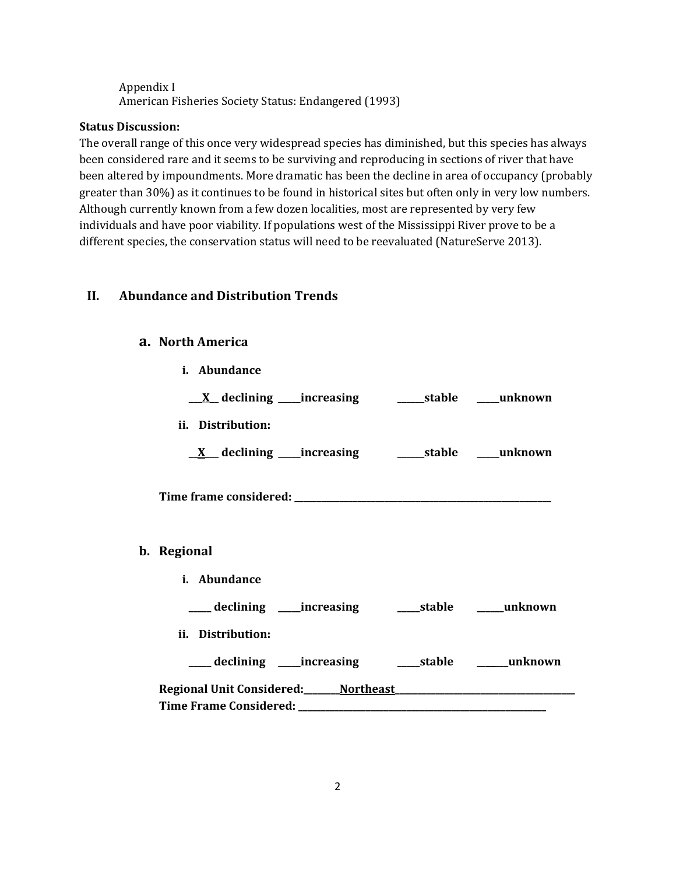### Appendix I American Fisheries Society Status: Endangered (1993)

### **Status Discussion:**

The overall range of this once very widespread species has diminished, but this species has always been considered rare and it seems to be surviving and reproducing in sections of river that have been altered by impoundments. More dramatic has been the decline in area of occupancy (probably greater than 30%) as it continues to be found in historical sites but often only in very low numbers. Although currently known from a few dozen localities, most are represented by very few individuals and have poor viability. If populations west of the Mississippi River prove to be a different species, the conservation status will need to be reevaluated (NatureServe 2013).

# **II. Abundance and Distribution Trends**

### **a. North America**

 $\mathbf{b}$ .

**i. Abundance**

| <u>_X</u> declining ____increasing __________stable _____unknown |  |
|------------------------------------------------------------------|--|
| ii. Distribution:                                                |  |
| <u>X</u> declining increasing a stable mush own                  |  |
|                                                                  |  |
| Regional                                                         |  |
| i. Abundance                                                     |  |
| ___ declining ____ increasing ______ stable _____ unknown        |  |
| ii. Distribution:                                                |  |
| ___ declining ____increasing ______stable ______unknown          |  |
|                                                                  |  |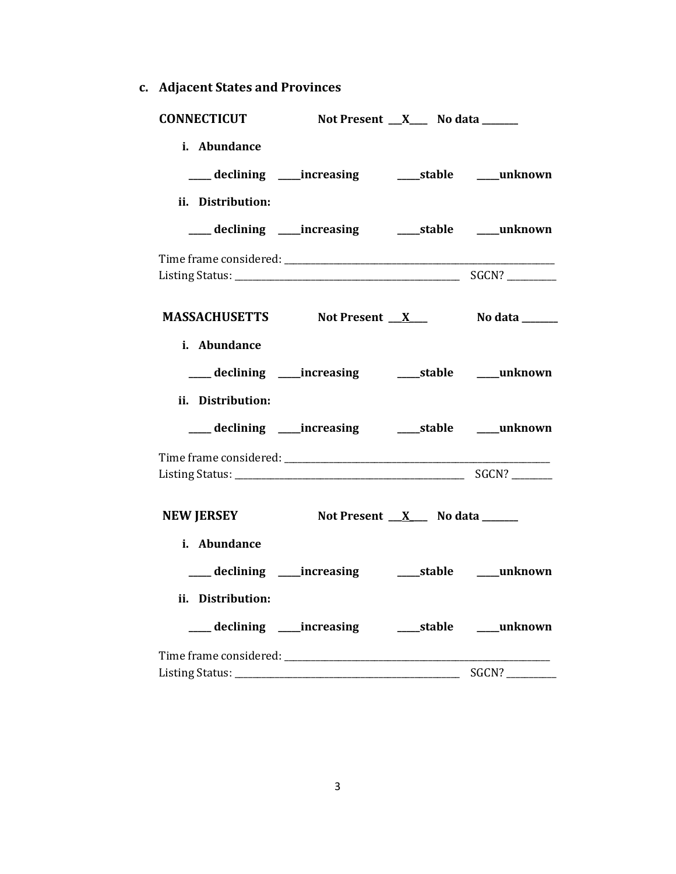- **CONNECTICUT Not Present \_\_\_X\_\_\_\_ No data \_\_\_\_\_\_\_\_ i. Abundance \_\_\_\_\_ declining \_\_\_\_\_increasing \_\_\_\_\_stable \_\_\_\_\_unknown ii. Distribution: \_\_\_\_\_ declining \_\_\_\_\_increasing \_\_\_\_\_stable \_\_\_\_\_unknown** Time frame considered: \_\_\_\_\_\_\_\_\_\_\_\_\_\_\_\_\_\_\_\_\_\_\_\_\_\_\_\_\_\_\_\_\_\_\_\_\_\_\_\_\_\_\_\_\_\_\_\_\_\_\_\_\_\_\_\_\_\_\_\_ Listing Status: \_\_\_\_\_\_\_\_\_\_\_\_\_\_\_\_\_\_\_\_\_\_\_\_\_\_\_\_\_\_\_\_\_\_\_\_\_\_\_\_\_\_\_\_\_\_\_\_\_\_ SGCN? \_\_\_\_\_\_\_\_\_\_\_ **MASSACHUSETTS** Not Present X No data \_\_\_\_\_\_ **i. Abundance \_\_\_\_\_ declining \_\_\_\_\_increasing \_\_\_\_\_stable \_\_\_\_\_unknown ii. Distribution: \_\_\_\_\_ declining \_\_\_\_\_increasing \_\_\_\_\_stable \_\_\_\_\_unknown** Time frame considered: \_\_\_\_\_\_\_\_\_\_\_\_\_\_\_\_\_\_\_\_\_\_\_\_\_\_\_\_\_\_\_\_\_\_\_\_\_\_\_\_\_\_\_\_\_\_\_\_\_\_\_\_\_\_\_\_\_\_\_ Listing Status: \_\_\_\_\_\_\_\_\_\_\_\_\_\_\_\_\_\_\_\_\_\_\_\_\_\_\_\_\_\_\_\_\_\_\_\_\_\_\_\_\_\_\_\_\_\_\_\_\_\_\_ SGCN? \_\_\_\_\_\_\_\_\_ **NEW JERSEY Not Present \_\_X\_\_\_** No data \_\_\_\_\_\_ **i. Abundance \_\_\_\_\_ declining \_\_\_\_\_increasing \_\_\_\_\_stable \_\_\_\_\_unknown ii. Distribution: \_\_\_\_\_ declining \_\_\_\_\_increasing \_\_\_\_\_stable \_\_\_\_\_unknown** Time frame considered: \_\_\_\_\_\_\_\_\_\_\_\_\_\_\_\_\_\_\_\_\_\_\_\_\_\_\_\_\_\_\_\_\_\_\_\_\_\_\_\_\_\_\_\_\_\_\_\_\_\_\_\_\_\_\_\_\_\_\_ Listing Status: \_\_\_\_\_\_\_\_\_\_\_\_\_\_\_\_\_\_\_\_\_\_\_\_\_\_\_\_\_\_\_\_\_\_\_\_\_\_\_\_\_\_\_\_\_\_\_\_\_\_ SGCN? \_\_\_\_\_\_\_\_\_\_\_
- **c. Adjacent States and Provinces**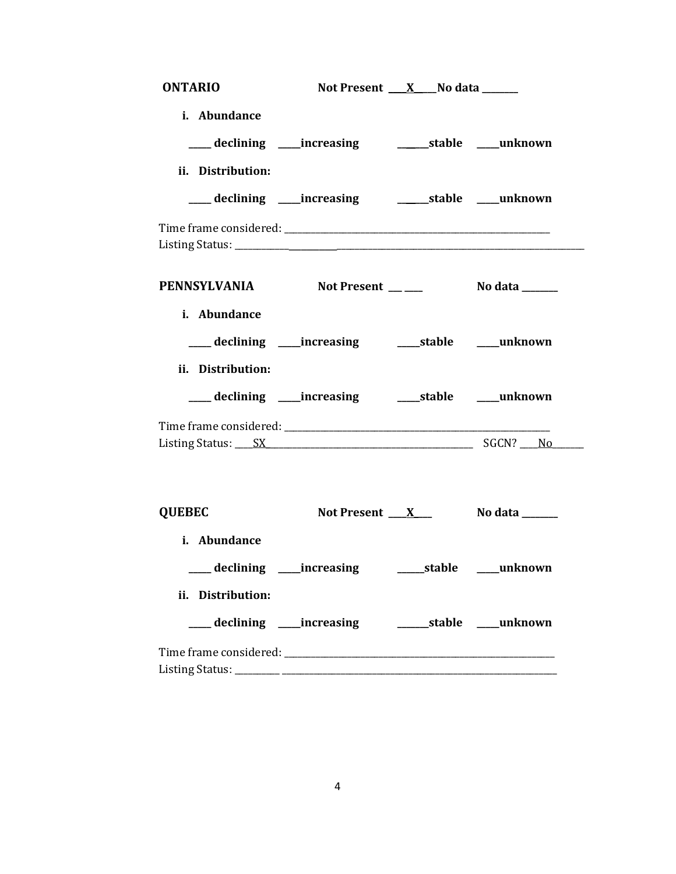| <b>ONTARIO</b>                                                |                                                                  | Not Present $X$ No data ________ |                               |
|---------------------------------------------------------------|------------------------------------------------------------------|----------------------------------|-------------------------------|
| i. Abundance                                                  | ___ declining ____ increasing _______________stable _____unknown |                                  |                               |
| ii. Distribution:                                             | ___ declining ____increasing __________stable ____unknown        |                                  |                               |
|                                                               |                                                                  |                                  |                               |
| PENNSYLVANIA Not Present __ ___ No data _____<br>i. Abundance |                                                                  |                                  |                               |
| ii. Distribution:                                             | ___ declining ____ increasing _____ stable ____ unknown          |                                  |                               |
|                                                               | ___ declining ____ increasing ______ stable _____ unknown        |                                  |                               |
|                                                               |                                                                  |                                  |                               |
| <b>QUEBEC</b>                                                 |                                                                  |                                  | Not Present $X_$ No data $X_$ |
| i. Abundance<br>___ declining ____ increasing                 |                                                                  |                                  | ______stable _____unknown     |
| ii. Distribution:                                             |                                                                  |                                  |                               |
|                                                               |                                                                  |                                  |                               |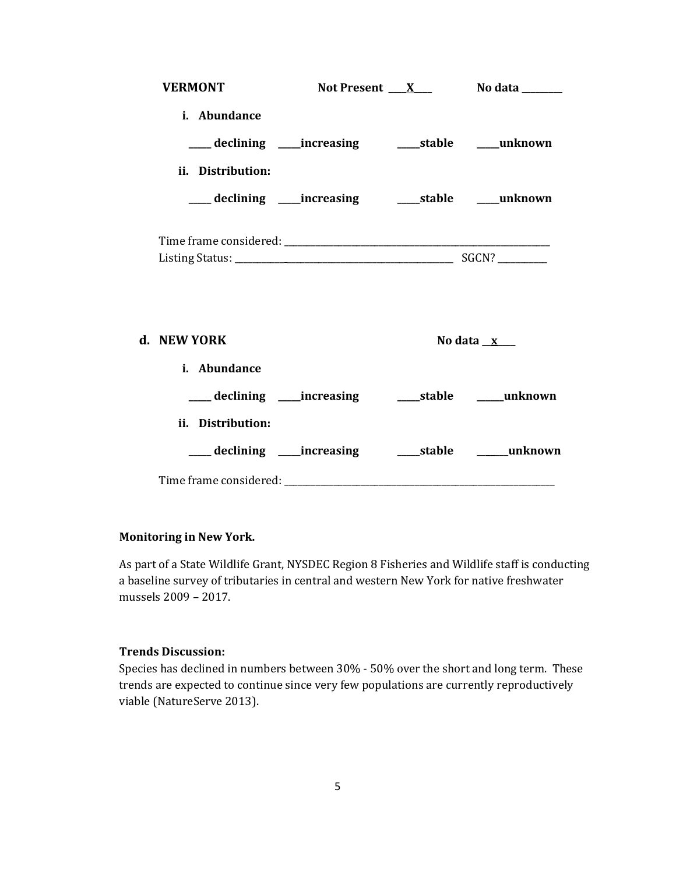| <b>VERMONT</b>              |                                                         | Not Present $X$ No data $\frac{X}{X}$ |
|-----------------------------|---------------------------------------------------------|---------------------------------------|
| i. Abundance                | ___ declining ____increasing ______stable ____unknown   |                                       |
| ii. Distribution:           | ___ declining ____increasing _______stable _____unknown |                                       |
|                             |                                                         |                                       |
| d. NEW YORK<br>i. Abundance |                                                         | No data $\mathbf{x}$                  |
|                             | ___ declining ____increasing ______stable _____unknown  |                                       |
| ii. Distribution:           |                                                         |                                       |

### **Monitoring in New York.**

As part of a State Wildlife Grant, NYSDEC Region 8 Fisheries and Wildlife staff is conducting a baseline survey of tributaries in central and western New York for native freshwater mussels 2009 – 2017.

## **Trends Discussion:**

Species has declined in numbers between 30% - 50% over the short and long term. These trends are expected to continue since very few populations are currently reproductively viable (NatureServe 2013).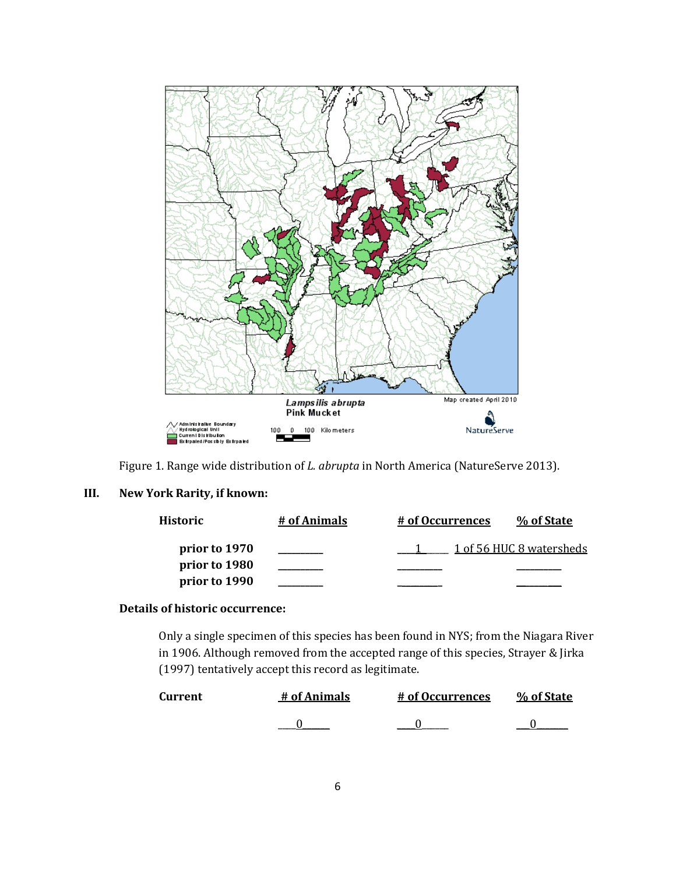

Figure 1. Range wide distribution of *L. abrupta* in North America (NatureServe 2013).

### **III. New York Rarity, if known:**

| Historic      | # of Animals | # of Occurrences | % of State               |
|---------------|--------------|------------------|--------------------------|
| prior to 1970 |              |                  | 1 of 56 HUC 8 watersheds |
| prior to 1980 |              |                  |                          |
| prior to 1990 |              |                  |                          |

## **Details of historic occurrence:**

Only a single specimen of this species has been found in NYS; from the Niagara River in 1906. Although removed from the accepted range of this species, Strayer & Jirka (1997) tentatively accept this record as legitimate.

| <b>Current</b> | # of Animals | # of Occurrences | % of State |
|----------------|--------------|------------------|------------|
|                |              |                  |            |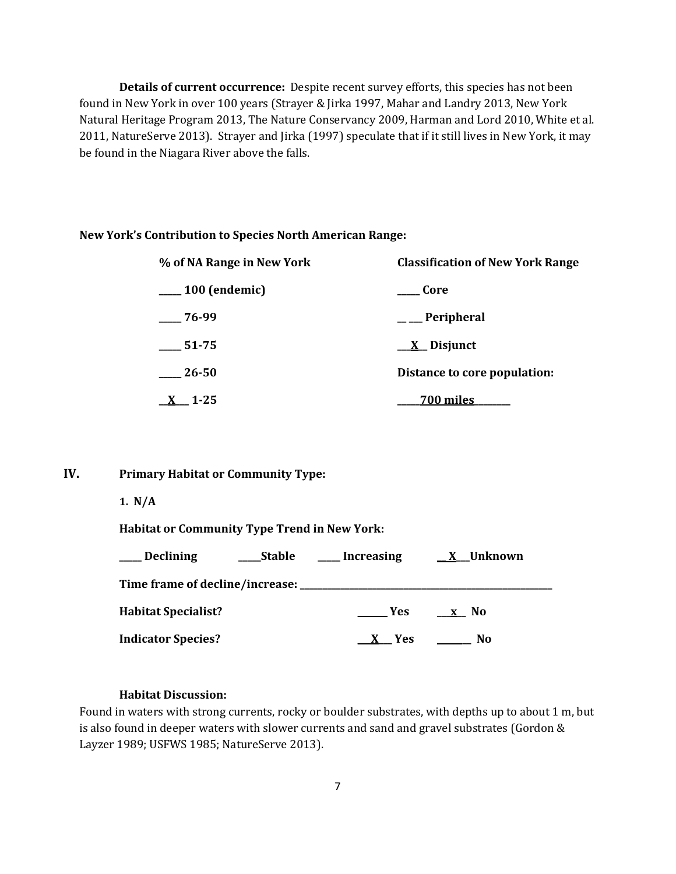**Details of current occurrence:** Despite recent survey efforts, this species has not been found in New York in over 100 years (Strayer & Jirka 1997, Mahar and Landry 2013, New York Natural Heritage Program 2013, The Nature Conservancy 2009, Harman and Lord 2010, White et al. 2011, NatureServe 2013). Strayer and Jirka (1997) speculate that if it still lives in New York, it may be found in the Niagara River above the falls.

#### **New York's Contribution to Species North American Range:**

| % of NA Range in New York | <b>Classification of New York Range</b> |  |
|---------------------------|-----------------------------------------|--|
| $\frac{100}{2}$ (endemic) | Core                                    |  |
| $-76-99$                  | $\equiv$ Peripheral                     |  |
| 51-75                     | $\underline{X}$ Disjunct                |  |
| 26-50                     | Distance to core population:            |  |
| $-1 - 25$                 | 700 miles                               |  |

**IV. Primary Habitat or Community Type:** 

**1. N/A**

**Habitat or Community Type Trend in New York:**

| <b>Declining</b><br><b>Stable</b><br>$\mathcal{L} = \mathcal{L}$ | Increasing | X Unknown |
|------------------------------------------------------------------|------------|-----------|
| Time frame of decline/increase: ________________                 |            |           |
| <b>Habitat Specialist?</b>                                       | <b>Yes</b> | x No      |
| <b>Indicator Species?</b>                                        | X Yes      | No.       |

### **Habitat Discussion:**

Found in waters with strong currents, rocky or boulder substrates, with depths up to about 1 m, but is also found in deeper waters with slower currents and sand and gravel substrates (Gordon & Layzer 1989; USFWS 1985; NatureServe 2013).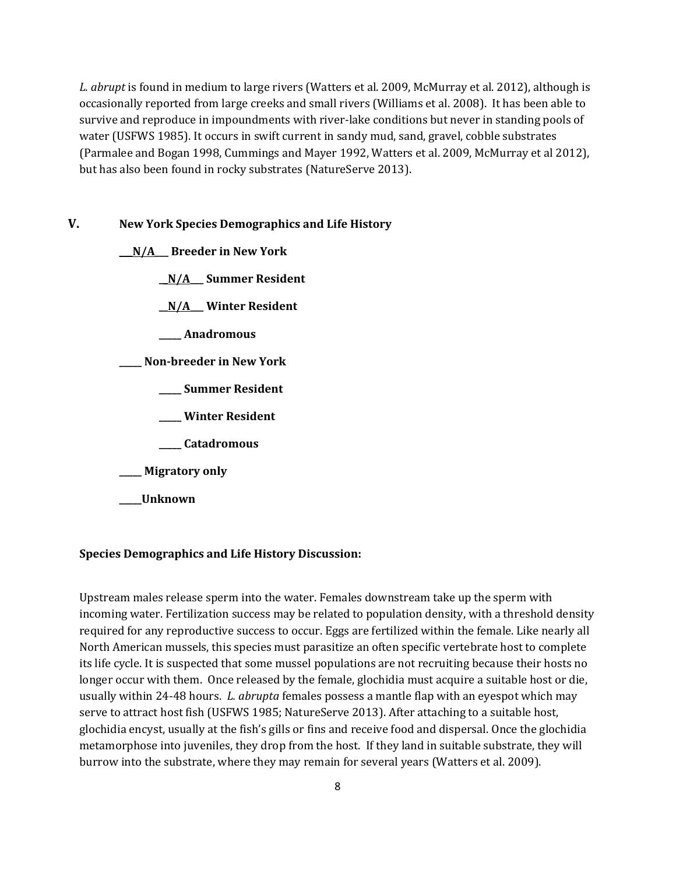*L. abrupt* is found in medium to large rivers (Watters et al. 2009, McMurray et al. 2012), although is occasionally reported from large creeks and small rivers (Williams et al. 2008). It has been able to survive and reproduce in impoundments with river-lake conditions but never in standing pools of water (USFWS 1985). It occurs in swift current in sandy mud, sand, gravel, cobble substrates (Parmalee and Bogan 1998, Cummings and Mayer 1992, Watters et al. 2009, McMurray et al 2012), but has also been found in rocky substrates (NatureServe 2013).

### **V. New York Species Demographics and Life History**

**\_\_\_N/A\_\_\_ Breeder in New York**

**\_\_N/A\_\_\_ Summer Resident**

**\_\_N/A\_\_\_ Winter Resident**

**\_\_\_\_\_ Anadromous**

**\_\_\_\_\_ Non-breeder in New York**

- **\_\_\_\_\_ Summer Resident**
- **\_\_\_\_\_ Winter Resident**
- **\_\_\_\_\_ Catadromous**
- **\_\_\_\_\_ Migratory only**
- **\_\_\_\_\_Unknown**

#### **Species Demographics and Life History Discussion:**

Upstream males release sperm into the water. Females downstream take up the sperm with incoming water. Fertilization success may be related to population density, with a threshold density required for any reproductive success to occur. Eggs are fertilized within the female. Like nearly all North American mussels, this species must parasitize an often specific vertebrate host to complete its life cycle. It is suspected that some mussel populations are not recruiting because their hosts no longer occur with them. Once released by the female, glochidia must acquire a suitable host or die, usually within 24-48 hours. *L. abrupta* females possess a mantle flap with an eyespot which may serve to attract host fish (USFWS 1985; NatureServe 2013). After attaching to a suitable host, glochidia encyst, usually at the fish's gills or fins and receive food and dispersal. Once the glochidia metamorphose into juveniles, they drop from the host. If they land in suitable substrate, they will burrow into the substrate, where they may remain for several years (Watters et al. 2009).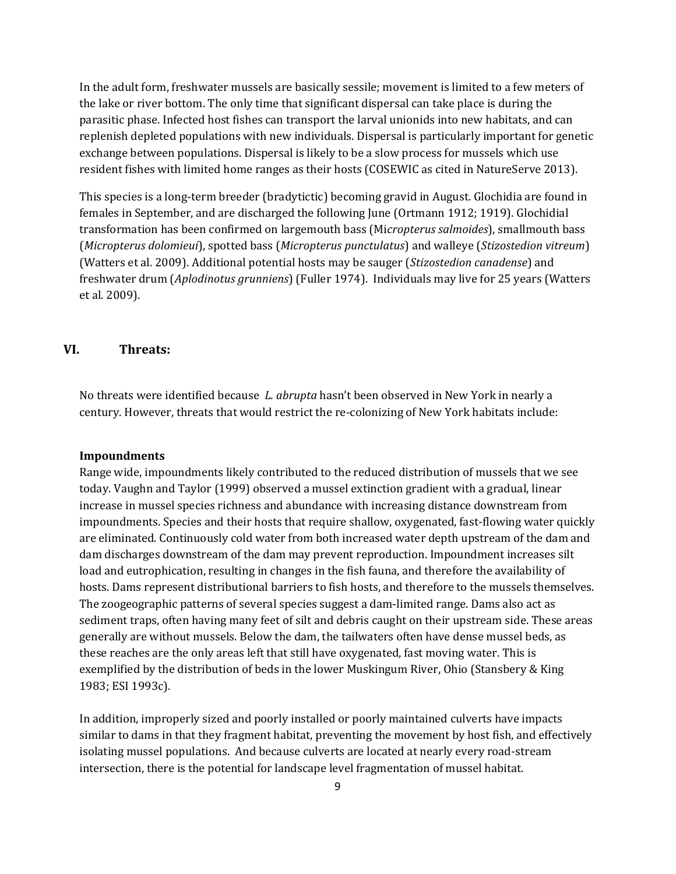In the adult form, freshwater mussels are basically sessile; movement is limited to a few meters of the lake or river bottom. The only time that significant dispersal can take place is during the parasitic phase. Infected host fishes can transport the larval unionids into new habitats, and can replenish depleted populations with new individuals. Dispersal is particularly important for genetic exchange between populations. Dispersal is likely to be a slow process for mussels which use resident fishes with limited home ranges as their hosts (COSEWIC as cited in NatureServe 2013).

This species is a long-term breeder (bradytictic) becoming gravid in August. Glochidia are found in females in September, and are discharged the following June (Ortmann 1912; 1919). Glochidial transformation has been confirmed on largemouth bass (Mi*cropterus salmoides*), smallmouth bass (*Micropterus dolomieui*), spotted bass (*Micropterus punctulatus*) and walleye (*Stizostedion vitreum*) (Watters et al. 2009). Additional potential hosts may be sauger (*Stizostedion canadense*) and freshwater drum (*Aplodinotus grunniens*) (Fuller 1974). Individuals may live for 25 years (Watters et al. 2009).

### **VI. Threats:**

No threats were identified because *L. abrupta* hasn't been observed in New York in nearly a century. However, threats that would restrict the re-colonizing of New York habitats include:

#### **Impoundments**

Range wide, impoundments likely contributed to the reduced distribution of mussels that we see today. Vaughn and Taylor (1999) observed a mussel extinction gradient with a gradual, linear increase in mussel species richness and abundance with increasing distance downstream from impoundments. Species and their hosts that require shallow, oxygenated, fast-flowing water quickly are eliminated. Continuously cold water from both increased water depth upstream of the dam and dam discharges downstream of the dam may prevent reproduction. Impoundment increases silt load and eutrophication, resulting in changes in the fish fauna, and therefore the availability of hosts. Dams represent distributional barriers to fish hosts, and therefore to the mussels themselves. The zoogeographic patterns of several species suggest a dam-limited range. Dams also act as sediment traps, often having many feet of silt and debris caught on their upstream side. These areas generally are without mussels. Below the dam, the tailwaters often have dense mussel beds, as these reaches are the only areas left that still have oxygenated, fast moving water. This is exemplified by the distribution of beds in the lower Muskingum River, Ohio (Stansbery & King 1983; ESI 1993c).

In addition, improperly sized and poorly installed or poorly maintained culverts have impacts similar to dams in that they fragment habitat, preventing the movement by host fish, and effectively isolating mussel populations. And because culverts are located at nearly every road-stream intersection, there is the potential for landscape level fragmentation of mussel habitat.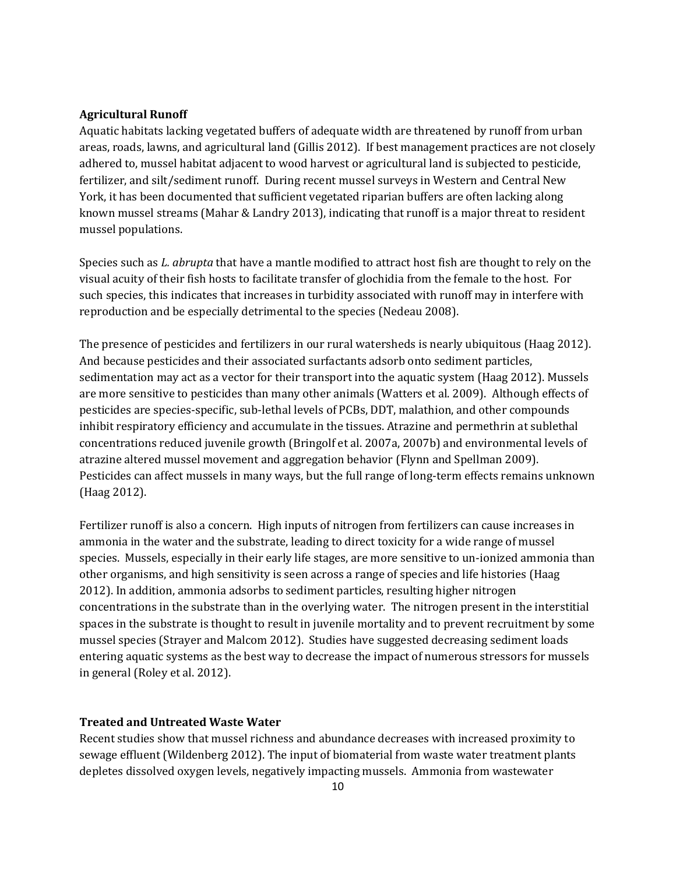### **Agricultural Runoff**

Aquatic habitats lacking vegetated buffers of adequate width are threatened by runoff from urban areas, roads, lawns, and agricultural land (Gillis 2012). If best management practices are not closely adhered to, mussel habitat adjacent to wood harvest or agricultural land is subjected to pesticide, fertilizer, and silt/sediment runoff. During recent mussel surveys in Western and Central New York, it has been documented that sufficient vegetated riparian buffers are often lacking along known mussel streams (Mahar & Landry 2013), indicating that runoff is a major threat to resident mussel populations.

Species such as *L. abrupta* that have a mantle modified to attract host fish are thought to rely on the visual acuity of their fish hosts to facilitate transfer of glochidia from the female to the host. For such species, this indicates that increases in turbidity associated with runoff may in interfere with reproduction and be especially detrimental to the species (Nedeau 2008).

The presence of pesticides and fertilizers in our rural watersheds is nearly ubiquitous (Haag 2012). And because pesticides and their associated surfactants adsorb onto sediment particles, sedimentation may act as a vector for their transport into the aquatic system (Haag 2012). Mussels are more sensitive to pesticides than many other animals (Watters et al. 2009). Although effects of pesticides are species-specific, sub-lethal levels of PCBs, DDT, malathion, and other compounds inhibit respiratory efficiency and accumulate in the tissues. Atrazine and permethrin at sublethal concentrations reduced juvenile growth (Bringolf et al. 2007a, 2007b) and environmental levels of atrazine altered mussel movement and aggregation behavior (Flynn and Spellman 2009). Pesticides can affect mussels in many ways, but the full range of long-term effects remains unknown (Haag 2012).

Fertilizer runoff is also a concern. High inputs of nitrogen from fertilizers can cause increases in ammonia in the water and the substrate, leading to direct toxicity for a wide range of mussel species. Mussels, especially in their early life stages, are more sensitive to un-ionized ammonia than other organisms, and high sensitivity is seen across a range of species and life histories (Haag 2012). In addition, ammonia adsorbs to sediment particles, resulting higher nitrogen concentrations in the substrate than in the overlying water. The nitrogen present in the interstitial spaces in the substrate is thought to result in juvenile mortality and to prevent recruitment by some mussel species (Strayer and Malcom 2012). Studies have suggested decreasing sediment loads entering aquatic systems as the best way to decrease the impact of numerous stressors for mussels in general (Roley et al. 2012).

### **Treated and Untreated Waste Water**

Recent studies show that mussel richness and abundance decreases with increased proximity to sewage effluent (Wildenberg 2012). The input of biomaterial from waste water treatment plants depletes dissolved oxygen levels, negatively impacting mussels. Ammonia from wastewater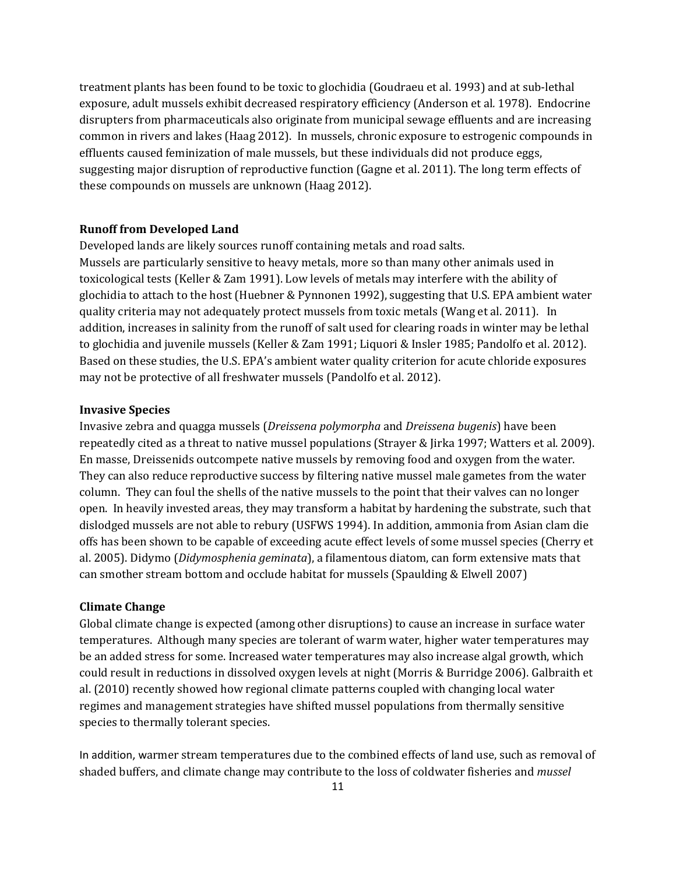treatment plants has been found to be toxic to glochidia (Goudraeu et al. 1993) and at sub-lethal exposure, adult mussels exhibit decreased respiratory efficiency (Anderson et al*.* 1978). Endocrine disrupters from pharmaceuticals also originate from municipal sewage effluents and are increasing common in rivers and lakes (Haag 2012). In mussels, chronic exposure to estrogenic compounds in effluents caused feminization of male mussels, but these individuals did not produce eggs, suggesting major disruption of reproductive function (Gagne et al. 2011). The long term effects of these compounds on mussels are unknown (Haag 2012).

#### **Runoff from Developed Land**

Developed lands are likely sources runoff containing metals and road salts. Mussels are particularly sensitive to heavy metals, more so than many other animals used in toxicological tests (Keller & Zam 1991). Low levels of metals may interfere with the ability of glochidia to attach to the host (Huebner & Pynnonen 1992), suggesting that U.S. EPA ambient water quality criteria may not adequately protect mussels from toxic metals (Wang et al. 2011). In addition, increases in salinity from the runoff of salt used for clearing roads in winter may be lethal to glochidia and juvenile mussels (Keller & Zam 1991; Liquori & Insler 1985; Pandolfo et al. 2012). Based on these studies, the U.S. EPA's ambient water quality criterion for acute chloride exposures may not be protective of all freshwater mussels (Pandolfo et al. 2012).

#### **Invasive Species**

Invasive zebra and quagga mussels (*Dreissena polymorpha* and *Dreissena bugenis*) have been repeatedly cited as a threat to native mussel populations (Strayer & Jirka 1997; Watters et al. 2009). En masse, Dreissenids outcompete native mussels by removing food and oxygen from the water. They can also reduce reproductive success by filtering native mussel male gametes from the water column. They can foul the shells of the native mussels to the point that their valves can no longer open. In heavily invested areas, they may transform a habitat by hardening the substrate, such that dislodged mussels are not able to rebury (USFWS 1994). In addition, ammonia from Asian clam die offs has been shown to be capable of exceeding acute effect levels of some mussel species (Cherry et al. 2005). Didymo (*Didymosphenia geminata*), a filamentous diatom, can form extensive mats that can smother stream bottom and occlude habitat for mussels (Spaulding & Elwell 2007)

#### **Climate Change**

Global climate change is expected (among other disruptions) to cause an increase in surface water temperatures. Although many species are tolerant of warm water, higher water temperatures may be an added stress for some. Increased water temperatures may also increase algal growth, which could result in reductions in dissolved oxygen levels at night (Morris & Burridge 2006). Galbraith et al. (2010) recently showed how regional climate patterns coupled with changing local water regimes and management strategies have shifted mussel populations from thermally sensitive species to thermally tolerant species.

In addition, warmer stream temperatures due to the combined effects of land use, such as removal of shaded buffers, and climate change may contribute to the loss of coldwater fisheries and *mussel*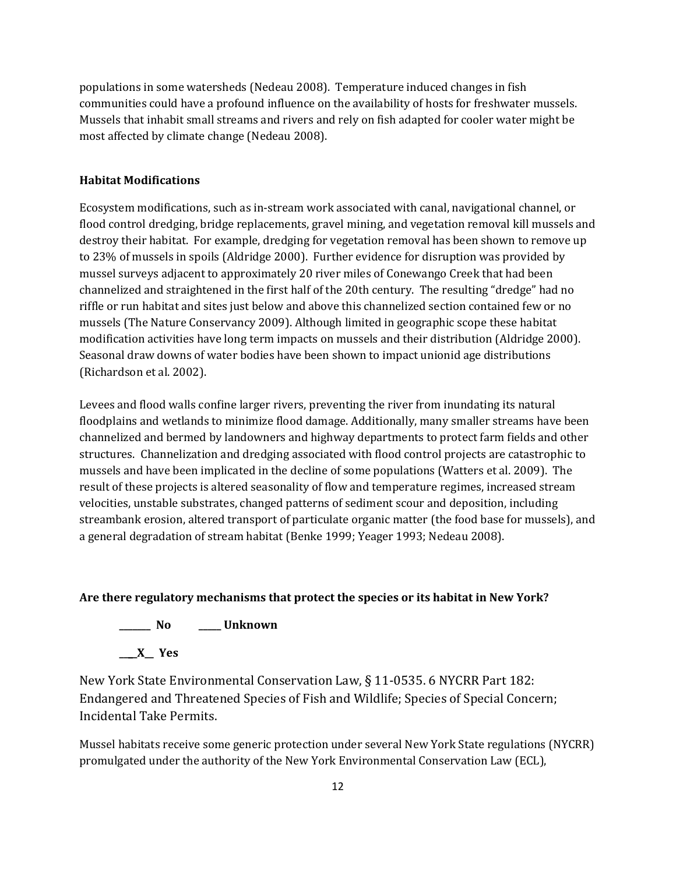populations in some watersheds (Nedeau 2008). Temperature induced changes in fish communities could have a profound influence on the availability of hosts for freshwater mussels. Mussels that inhabit small streams and rivers and rely on fish adapted for cooler water might be most affected by climate change (Nedeau 2008).

### **Habitat Modifications**

Ecosystem modifications, such as in-stream work associated with canal, navigational channel, or flood control dredging, bridge replacements, gravel mining, and vegetation removal kill mussels and destroy their habitat. For example, dredging for vegetation removal has been shown to remove up to 23% of mussels in spoils (Aldridge 2000). Further evidence for disruption was provided by mussel surveys adjacent to approximately 20 river miles of Conewango Creek that had been channelized and straightened in the first half of the 20th century. The resulting "dredge" had no riffle or run habitat and sites just below and above this channelized section contained few or no mussels (The Nature Conservancy 2009). Although limited in geographic scope these habitat modification activities have long term impacts on mussels and their distribution (Aldridge 2000). Seasonal draw downs of water bodies have been shown to impact unionid age distributions (Richardson et al. 2002).

Levees and flood walls confine larger rivers, preventing the river from inundating its natural floodplains and wetlands to minimize flood damage. Additionally, many smaller streams have been channelized and bermed by landowners and highway departments to protect farm fields and other structures. Channelization and dredging associated with flood control projects are catastrophic to mussels and have been implicated in the decline of some populations (Watters et al. 2009). The result of these projects is altered seasonality of flow and temperature regimes, increased stream velocities, unstable substrates, changed patterns of sediment scour and deposition, including streambank erosion, altered transport of particulate organic matter (the food base for mussels), and a general degradation of stream habitat (Benke 1999; Yeager 1993; Nedeau 2008).

### **Are there regulatory mechanisms that protect the species or its habitat in New York?**

**\_\_\_\_\_\_\_ No \_\_\_\_\_ Unknown**

**\_\_\_\_X\_\_ Yes** 

New York State Environmental Conservation Law, § 11-0535. 6 NYCRR Part 182: Endangered and Threatened Species of Fish and Wildlife; Species of Special Concern; Incidental Take Permits.

Mussel habitats receive some generic protection under several New York State regulations (NYCRR) promulgated under the authority of the New York Environmental Conservation Law (ECL),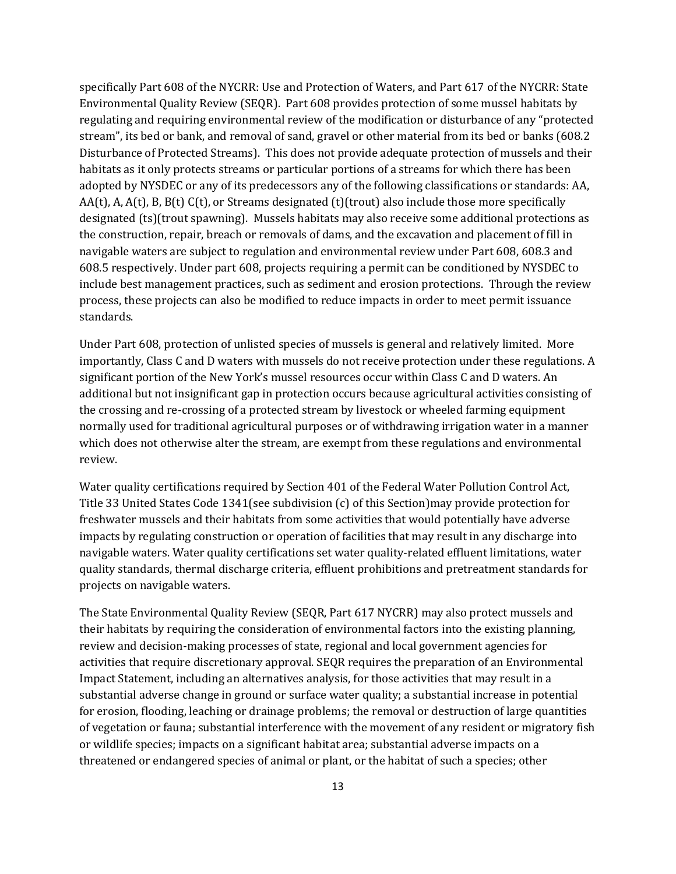specifically Part 608 of the NYCRR: Use and Protection of Waters, and Part 617 of the NYCRR: State Environmental Quality Review (SEQR). Part 608 provides protection of some mussel habitats by regulating and requiring environmental review of the modification or disturbance of any "protected stream", its bed or bank, and removal of sand, gravel or other material from its bed or banks (608.2 Disturbance of Protected Streams). This does not provide adequate protection of mussels and their habitats as it only protects streams or particular portions of a streams for which there has been adopted by NYSDEC or any of its predecessors any of the following classifications or standards: AA, AA(t), A, A(t), B, B(t) C(t), or Streams designated (t)(trout) also include those more specifically designated (ts)(trout spawning). Mussels habitats may also receive some additional protections as the construction, repair, breach or removals of dams, and the excavation and placement of fill in navigable waters are subject to regulation and environmental review under Part 608, 608.3 and 608.5 respectively. Under part 608, projects requiring a permit can be conditioned by NYSDEC to include best management practices, such as sediment and erosion protections. Through the review process, these projects can also be modified to reduce impacts in order to meet permit issuance standards.

Under Part 608, protection of unlisted species of mussels is general and relatively limited. More importantly, Class C and D waters with mussels do not receive protection under these regulations. A significant portion of the New York's mussel resources occur within Class C and D waters. An additional but not insignificant gap in protection occurs because agricultural activities consisting of the crossing and re-crossing of a protected stream by livestock or wheeled farming equipment normally used for traditional agricultural purposes or of withdrawing irrigation water in a manner which does not otherwise alter the stream, are exempt from these regulations and environmental review.

Water quality certifications required by Section 401 of the Federal Water Pollution Control Act, Title 33 United States Code 1341(see subdivision (c) of this Section)may provide protection for freshwater mussels and their habitats from some activities that would potentially have adverse impacts by regulating construction or operation of facilities that may result in any discharge into navigable waters. Water quality certifications set water quality-related effluent limitations, water quality standards, thermal discharge criteria, effluent prohibitions and pretreatment standards for projects on navigable waters.

The State Environmental Quality Review (SEQR, Part 617 NYCRR) may also protect mussels and their habitats by requiring the consideration of environmental factors into the existing planning, review and decision-making processes of state, regional and local government agencies for activities that require discretionary approval. SEQR requires the preparation of an Environmental Impact Statement, including an alternatives analysis, for those activities that may result in a substantial adverse change in ground or surface water quality; a substantial increase in potential for erosion, flooding, leaching or drainage problems; the removal or destruction of large quantities of vegetation or fauna; substantial interference with the movement of any resident or migratory fish or wildlife species; impacts on a significant habitat area; substantial adverse impacts on a threatened or endangered species of animal or plant, or the habitat of such a species; other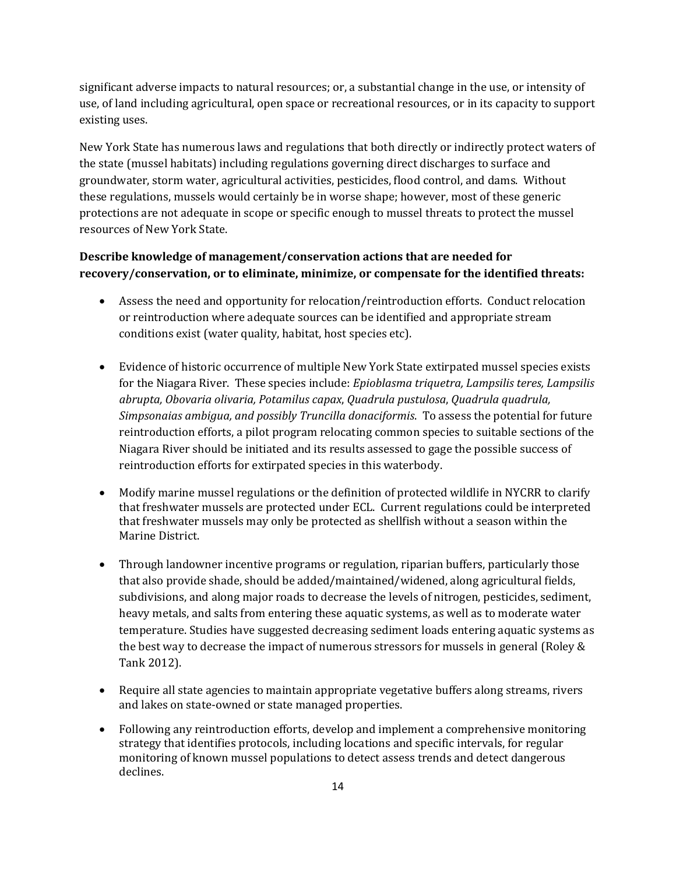significant adverse impacts to natural resources; or, a substantial change in the use, or intensity of use, of land including agricultural, open space or recreational resources, or in its capacity to support existing uses.

New York State has numerous laws and regulations that both directly or indirectly protect waters of the state (mussel habitats) including regulations governing direct discharges to surface and groundwater, storm water, agricultural activities, pesticides, flood control, and dams. Without these regulations, mussels would certainly be in worse shape; however, most of these generic protections are not adequate in scope or specific enough to mussel threats to protect the mussel resources of New York State.

## **Describe knowledge of management/conservation actions that are needed for recovery/conservation, or to eliminate, minimize, or compensate for the identified threats:**

- Assess the need and opportunity for relocation/reintroduction efforts. Conduct relocation or reintroduction where adequate sources can be identified and appropriate stream conditions exist (water quality, habitat, host species etc).
- Evidence of historic occurrence of multiple New York State extirpated mussel species exists for the Niagara River. These species include: *Epioblasma triquetra, Lampsilis teres, Lampsilis abrupta, Obovaria olivaria, Potamilus capax*, *Quadrula pustulosa*, *Quadrula quadrula, Simpsonaias ambigua, and possibly Truncilla donaciformis*. To assess the potential for future reintroduction efforts, a pilot program relocating common species to suitable sections of the Niagara River should be initiated and its results assessed to gage the possible success of reintroduction efforts for extirpated species in this waterbody.
- Modify marine mussel regulations or the definition of protected wildlife in NYCRR to clarify that freshwater mussels are protected under ECL. Current regulations could be interpreted that freshwater mussels may only be protected as shellfish without a season within the Marine District.
- Through landowner incentive programs or regulation, riparian buffers, particularly those that also provide shade, should be added/maintained/widened, along agricultural fields, subdivisions, and along major roads to decrease the levels of nitrogen, pesticides, sediment, heavy metals, and salts from entering these aquatic systems, as well as to moderate water temperature. Studies have suggested decreasing sediment loads entering aquatic systems as the best way to decrease the impact of numerous stressors for mussels in general (Roley & Tank 2012).
- Require all state agencies to maintain appropriate vegetative buffers along streams, rivers and lakes on state-owned or state managed properties.
- Following any reintroduction efforts, develop and implement a comprehensive monitoring strategy that identifies protocols, including locations and specific intervals, for regular monitoring of known mussel populations to detect assess trends and detect dangerous declines.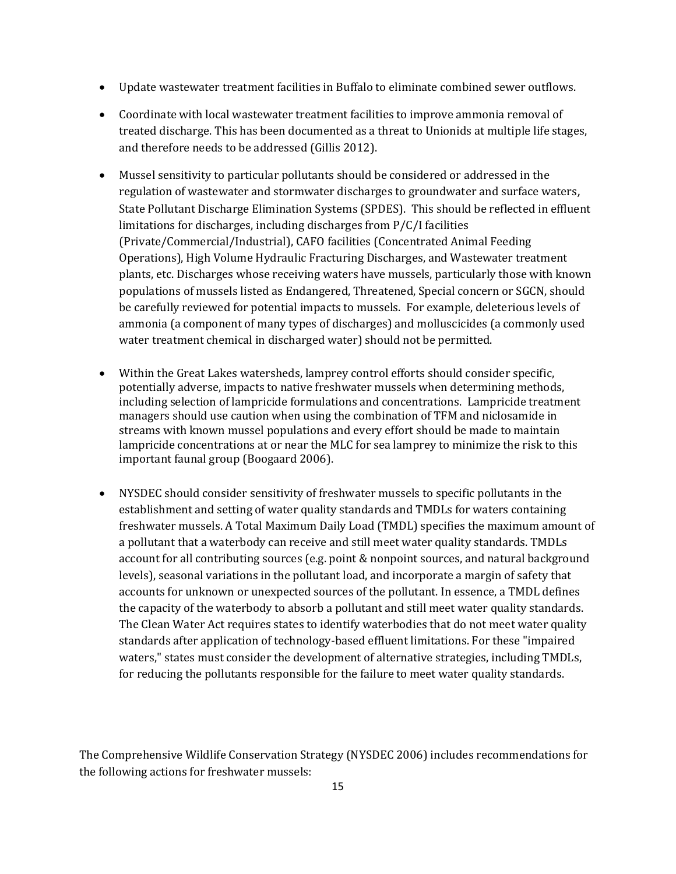- Update wastewater treatment facilities in Buffalo to eliminate combined sewer outflows.
- Coordinate with local wastewater treatment facilities to improve ammonia removal of treated discharge. This has been documented as a threat to Unionids at multiple life stages, and therefore needs to be addressed (Gillis 2012).
- Mussel sensitivity to particular pollutants should be considered or addressed in the regulation of wastewater and stormwater discharges to groundwater and surface waters, State Pollutant Discharge Elimination Systems (SPDES). This should be reflected in effluent limitations for discharges, including discharges from P/C/I facilities (Private/Commercial/Industrial), CAFO facilities (Concentrated Animal Feeding Operations), High Volume Hydraulic Fracturing Discharges, and Wastewater treatment plants, etc. Discharges whose receiving waters have mussels, particularly those with known populations of mussels listed as Endangered, Threatened, Special concern or SGCN, should be carefully reviewed for potential impacts to mussels. For example, deleterious levels of ammonia (a component of many types of discharges) and molluscicides (a commonly used water treatment chemical in discharged water) should not be permitted.
- Within the Great Lakes watersheds, lamprey control efforts should consider specific, potentially adverse, impacts to native freshwater mussels when determining methods, including selection of lampricide formulations and concentrations. Lampricide treatment managers should use caution when using the combination of TFM and niclosamide in streams with known mussel populations and every effort should be made to maintain lampricide concentrations at or near the MLC for sea lamprey to minimize the risk to this important faunal group (Boogaard 2006).
- NYSDEC should consider sensitivity of freshwater mussels to specific pollutants in the establishment and setting of water quality standards and TMDLs for waters containing freshwater mussels. A Total Maximum Daily Load (TMDL) specifies the maximum amount of a pollutant that a waterbody can receive and still meet water quality standards. TMDLs account for all contributing sources (e.g. point & nonpoint sources, and natural background levels), seasonal variations in the pollutant load, and incorporate a margin of safety that accounts for unknown or unexpected sources of the pollutant. In essence, a TMDL defines the capacity of the waterbody to absorb a pollutant and still meet water quality standards. The Clean Water Act requires states to identify waterbodies that do not meet water quality standards after application of technology-based effluent limitations. For these "impaired waters," states must consider the development of alternative strategies, including TMDLs, for reducing the pollutants responsible for the failure to meet water quality standards.

The Comprehensive Wildlife Conservation Strategy (NYSDEC 2006) includes recommendations for the following actions for freshwater mussels: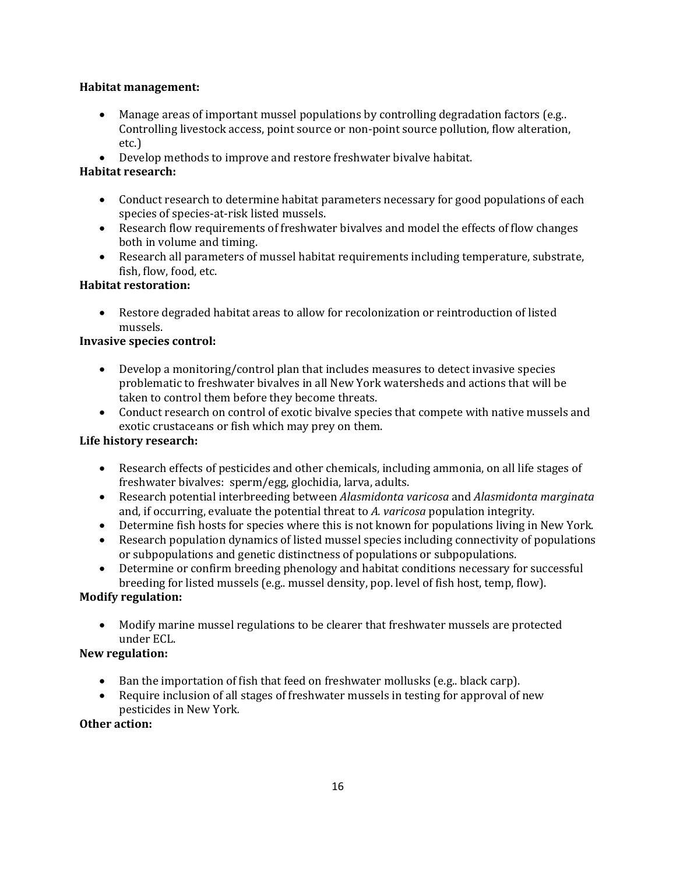### **Habitat management:**

- Manage areas of important mussel populations by controlling degradation factors (e.g..) Controlling livestock access, point source or non-point source pollution, flow alteration, etc.)
- Develop methods to improve and restore freshwater bivalve habitat.

## **Habitat research:**

- Conduct research to determine habitat parameters necessary for good populations of each species of species-at-risk listed mussels.
- Research flow requirements of freshwater bivalves and model the effects of flow changes both in volume and timing.
- Research all parameters of mussel habitat requirements including temperature, substrate, fish, flow, food, etc.

## **Habitat restoration:**

• Restore degraded habitat areas to allow for recolonization or reintroduction of listed mussels.

### **Invasive species control:**

- Develop a monitoring/control plan that includes measures to detect invasive species problematic to freshwater bivalves in all New York watersheds and actions that will be taken to control them before they become threats.
- Conduct research on control of exotic bivalve species that compete with native mussels and exotic crustaceans or fish which may prey on them.

## **Life history research:**

- Research effects of pesticides and other chemicals, including ammonia, on all life stages of freshwater bivalves: sperm/egg, glochidia, larva, adults.
- Research potential interbreeding between *Alasmidonta varicosa* and *Alasmidonta marginata* and, if occurring, evaluate the potential threat to *A. varicosa* population integrity.
- Determine fish hosts for species where this is not known for populations living in New York.
- Research population dynamics of listed mussel species including connectivity of populations or subpopulations and genetic distinctness of populations or subpopulations.
- Determine or confirm breeding phenology and habitat conditions necessary for successful breeding for listed mussels (e.g.. mussel density, pop. level of fish host, temp, flow).

## **Modify regulation:**

• Modify marine mussel regulations to be clearer that freshwater mussels are protected under ECL.

## **New regulation:**

- Ban the importation of fish that feed on freshwater mollusks (e.g.. black carp).
- Require inclusion of all stages of freshwater mussels in testing for approval of new pesticides in New York*.*

### **Other action:**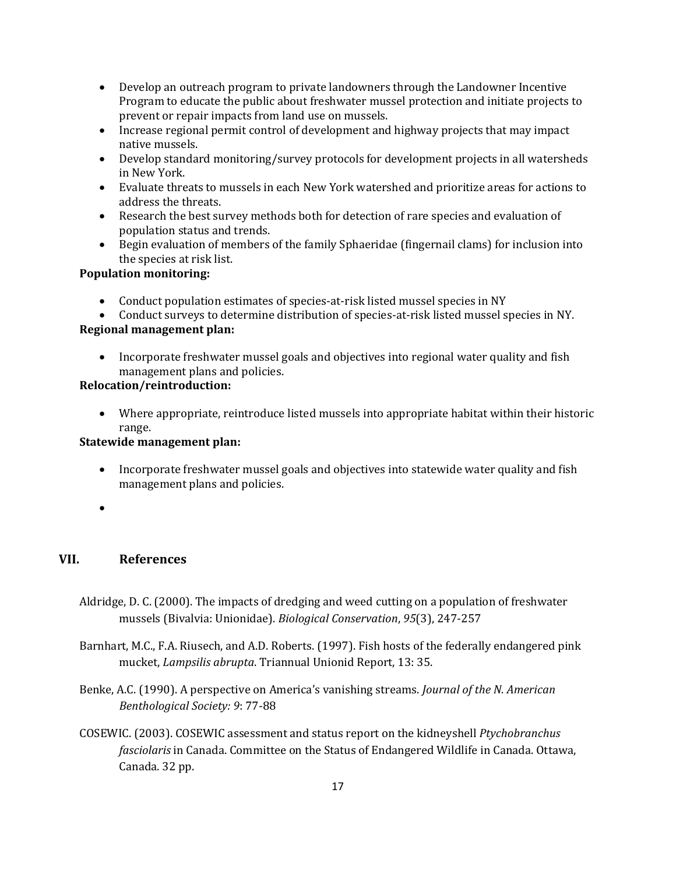- Develop an outreach program to private landowners through the Landowner Incentive Program to educate the public about freshwater mussel protection and initiate projects to prevent or repair impacts from land use on mussels.
- Increase regional permit control of development and highway projects that may impact native mussels.
- Develop standard monitoring/survey protocols for development projects in all watersheds in New York.
- Evaluate threats to mussels in each New York watershed and prioritize areas for actions to address the threats.
- Research the best survey methods both for detection of rare species and evaluation of population status and trends.
- Begin evaluation of members of the family Sphaeridae (fingernail clams) for inclusion into the species at risk list.

## **Population monitoring:**

- Conduct population estimates of species-at-risk listed mussel species in NY
- Conduct surveys to determine distribution of species-at-risk listed mussel species in NY.

## **Regional management plan:**

• Incorporate freshwater mussel goals and objectives into regional water quality and fish management plans and policies.

## **Relocation/reintroduction:**

• Where appropriate, reintroduce listed mussels into appropriate habitat within their historic range.

## **Statewide management plan:**

- Incorporate freshwater mussel goals and objectives into statewide water quality and fish management plans and policies.
- •

# **VII. References**

- Aldridge, D. C. (2000). The impacts of dredging and weed cutting on a population of freshwater mussels (Bivalvia: Unionidae). *Biological Conservation*, *95*(3), 247-257
- Barnhart, M.C., F.A. Riusech, and A.D. Roberts. (1997). Fish hosts of the federally endangered pink mucket, *Lampsilis abrupta*. Triannual Unionid Report, 13: 35.
- Benke, A.C. (1990). A perspective on America's vanishing streams. *Journal of the N. American Benthological Society: 9*: 77-88
- COSEWIC. (2003). COSEWIC assessment and status report on the kidneyshell *Ptychobranchus fasciolaris* in Canada. Committee on the Status of Endangered Wildlife in Canada. Ottawa, Canada. 32 pp.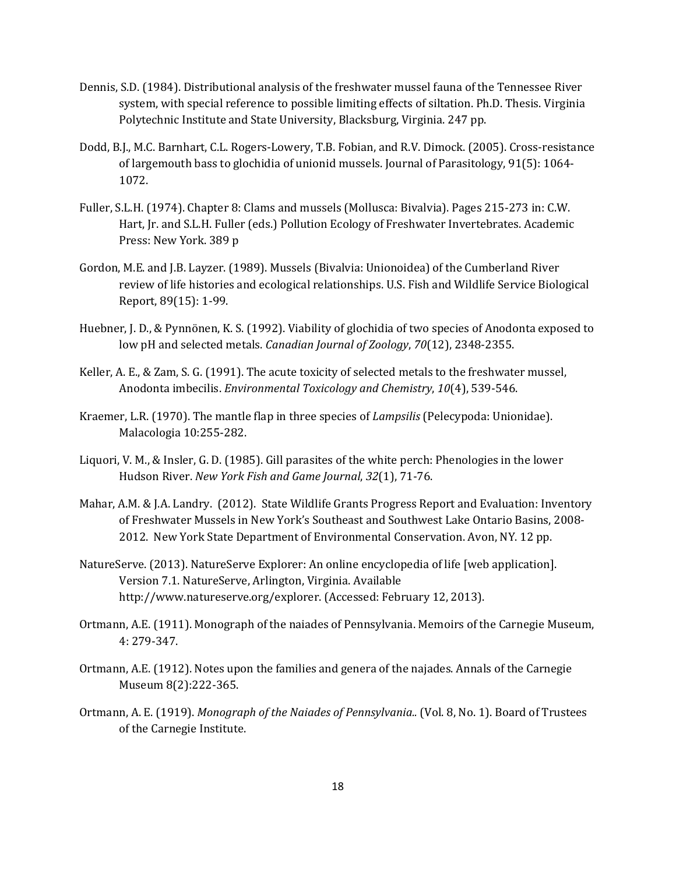- Dennis, S.D. (1984). Distributional analysis of the freshwater mussel fauna of the Tennessee River system, with special reference to possible limiting effects of siltation. Ph.D. Thesis. Virginia Polytechnic Institute and State University, Blacksburg, Virginia. 247 pp.
- Dodd, B.J., M.C. Barnhart, C.L. Rogers-Lowery, T.B. Fobian, and R.V. Dimock. (2005). Cross-resistance of largemouth bass to glochidia of unionid mussels. Journal of Parasitology, 91(5): 1064- 1072.
- Fuller, S.L.H. (1974). Chapter 8: Clams and mussels (Mollusca: Bivalvia). Pages 215-273 in: C.W. Hart, Jr. and S.L.H. Fuller (eds.) Pollution Ecology of Freshwater Invertebrates. Academic Press: New York. 389 p
- Gordon, M.E. and J.B. Layzer. (1989). Mussels (Bivalvia: Unionoidea) of the Cumberland River review of life histories and ecological relationships. U.S. Fish and Wildlife Service Biological Report, 89(15): 1-99.
- Huebner, J. D., & Pynnönen, K. S. (1992). Viability of glochidia of two species of Anodonta exposed to low pH and selected metals. *Canadian Journal of Zoology*, *70*(12), 2348-2355.
- Keller, A. E., & Zam, S. G. (1991). The acute toxicity of selected metals to the freshwater mussel, Anodonta imbecilis. *Environmental Toxicology and Chemistry*, *10*(4), 539-546.
- Kraemer, L.R. (1970). The mantle flap in three species of *Lampsilis* (Pelecypoda: Unionidae). Malacologia 10:255-282.
- Liquori, V. M., & Insler, G. D. (1985). Gill parasites of the white perch: Phenologies in the lower Hudson River. *New York Fish and Game Journal*, *32*(1), 71-76.
- Mahar, A.M. & J.A. Landry. (2012). State Wildlife Grants Progress Report and Evaluation: Inventory of Freshwater Mussels in New York's Southeast and Southwest Lake Ontario Basins, 2008- 2012. New York State Department of Environmental Conservation. Avon, NY. 12 pp.
- NatureServe. (2013). NatureServe Explorer: An online encyclopedia of life [web application]. Version 7.1. NatureServe, Arlington, Virginia. Available http://www.natureserve.org/explorer. (Accessed: February 12, 2013).
- Ortmann, A.E. (1911). Monograph of the naiades of Pennsylvania. Memoirs of the Carnegie Museum, 4: 279-347.
- Ortmann, A.E. (1912). Notes upon the families and genera of the najades. Annals of the Carnegie Museum 8(2):222-365.
- Ortmann, A. E. (1919). *Monograph of the Naiades of Pennsylvania..* (Vol. 8, No. 1). Board of Trustees of the Carnegie Institute.